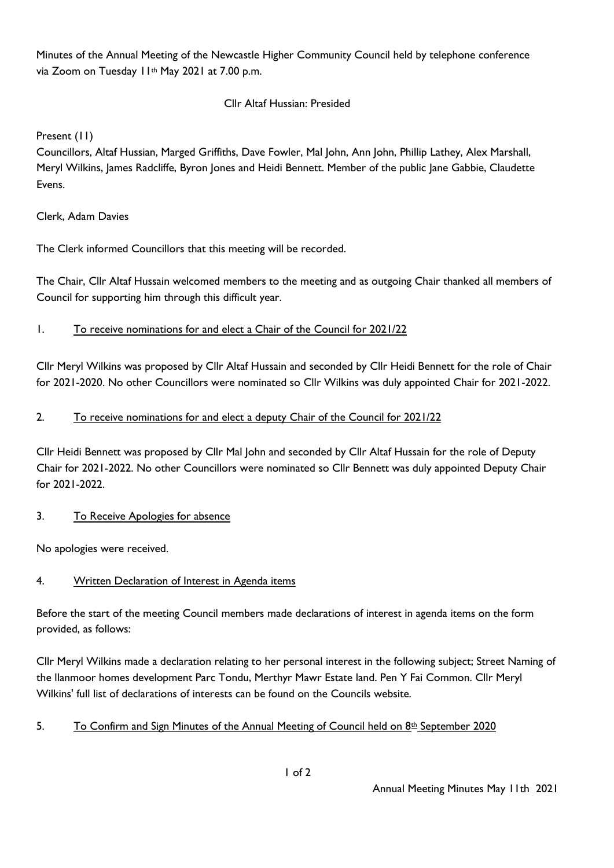Minutes of the Annual Meeting of the Newcastle Higher Community Council held by telephone conference via Zoom on Tuesday II<sup>th</sup> May 2021 at 7.00 p.m.

### Cllr Altaf Hussian: Presided

Present (11)

Councillors, Altaf Hussian, Marged Griffiths, Dave Fowler, Mal John, Ann John, Phillip Lathey, Alex Marshall, Meryl Wilkins, James Radcliffe, Byron Jones and Heidi Bennett. Member of the public Jane Gabbie, Claudette Evens.

### Clerk, Adam Davies

The Clerk informed Councillors that this meeting will be recorded.

The Chair, Cllr Altaf Hussain welcomed members to the meeting and as outgoing Chair thanked all members of Council for supporting him through this difficult year.

1. To receive nominations for and elect a Chair of the Council for 2021/22

Cllr Meryl Wilkins was proposed by Cllr Altaf Hussain and seconded by Cllr Heidi Bennett for the role of Chair for 2021-2020. No other Councillors were nominated so Cllr Wilkins was duly appointed Chair for 2021-2022.

### 2. To receive nominations for and elect a deputy Chair of the Council for 2021/22

Cllr Heidi Bennett was proposed by Cllr Mal John and seconded by Cllr Altaf Hussain for the role of Deputy Chair for 2021-2022. No other Councillors were nominated so Cllr Bennett was duly appointed Deputy Chair for 2021-2022.

### 3. To Receive Apologies for absence

No apologies were received.

# 4. Written Declaration of Interest in Agenda items

Before the start of the meeting Council members made declarations of interest in agenda items on the form provided, as follows:

Cllr Meryl Wilkins made a declaration relating to her personal interest in the following subject; Street Naming of the llanmoor homes development Parc Tondu, Merthyr Mawr Estate land. Pen Y Fai Common. Cllr Meryl Wilkins' full list of declarations of interests can be found on the Councils website.

# 5. To Confirm and Sign Minutes of the Annual Meeting of Council held on  $8<sup>th</sup>$  September 2020